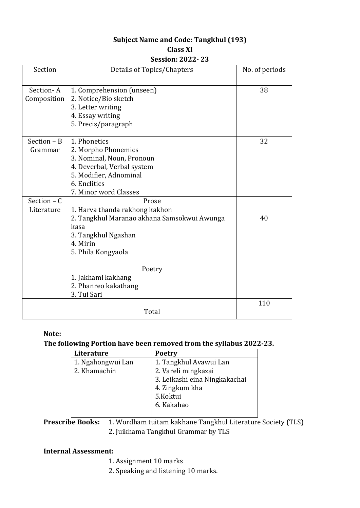# **Subject Name and Code: Tangkhul (193) Class XI**

#### **Session: 2022- 23**

| Section                     | Details of Topics/Chapters                                                                                                                                        | No. of periods |
|-----------------------------|-------------------------------------------------------------------------------------------------------------------------------------------------------------------|----------------|
| Section-A<br>Composition    | 1. Comprehension (unseen)<br>2. Notice/Bio sketch<br>3. Letter writing<br>4. Essay writing<br>5. Precis/paragraph                                                 | 38             |
| $Section - B$<br>Grammar    | 1. Phonetics<br>2. Morpho Phonemics<br>3. Nominal, Noun, Pronoun<br>4. Deverbal, Verbal system<br>5. Modifier, Adnominal<br>6. Enclitics<br>7. Minor word Classes | 32             |
| Section $- C$<br>Literature | Prose<br>1. Harva thanda rakhong kakhon<br>2. Tangkhul Maranao akhana Samsokwui Awunga<br>kasa<br>3. Tangkhul Ngashan<br>4. Mirin<br>5. Phila Kongyaola           | 40             |
|                             | Poetry<br>1. Jakhami kakhang<br>2. Phanreo kakathang<br>3. Tui Sari                                                                                               |                |
|                             | Total                                                                                                                                                             | 110            |

#### **Note:**

# **The following Portion have been removed from the syllabus 2022-23.**

| Literature        | <b>Poetry</b>                 |  |
|-------------------|-------------------------------|--|
| 1. Ngahongwui Lan | 1. Tangkhul Avawui Lan        |  |
| 2. Khamachin      | 2. Vareli mingkazai           |  |
|                   | 3. Leikashi eina Ningkakachai |  |
|                   | 4. Zingkum kha                |  |
|                   | 5.Koktui                      |  |
|                   | 6. Kakahao                    |  |
|                   |                               |  |

**Prescribe Books:** 1. Wordham tuitam kakhane Tangkhul Literature Society (TLS) 2. Juikhama Tangkhul Grammar by TLS

#### **Internal Assessment:**

- 1. Assignment 10 marks
- 2. Speaking and listening 10 marks.